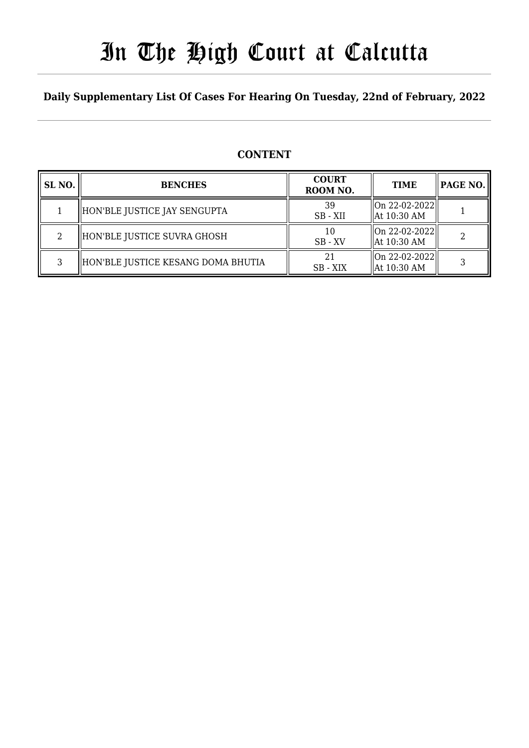# In The High Court at Calcutta

### **Daily Supplementary List Of Cases For Hearing On Tuesday, 22nd of February, 2022**

### **CONTENT**

| SL <sub>NO</sub> . | <b>BENCHES</b>                     | <b>COURT</b><br>ROOM NO. | <b>TIME</b>                                | <b>PAGE NO.</b> |
|--------------------|------------------------------------|--------------------------|--------------------------------------------|-----------------|
|                    | HON'BLE JUSTICE JAY SENGUPTA       | 39<br>SB-XII             | On 22-02-2022  <br>$\parallel$ At 10:30 AM |                 |
| $\mathcal{L}$      | HON'BLE JUSTICE SUVRA GHOSH        | 10<br>$SB - XV$          | On 22-02-2022  <br>$\parallel$ At 10:30 AM |                 |
| 3                  | HON'BLE JUSTICE KESANG DOMA BHUTIA | 21<br>SB - XIX           | On 22-02-2022  <br>$\parallel$ At 10:30 AM |                 |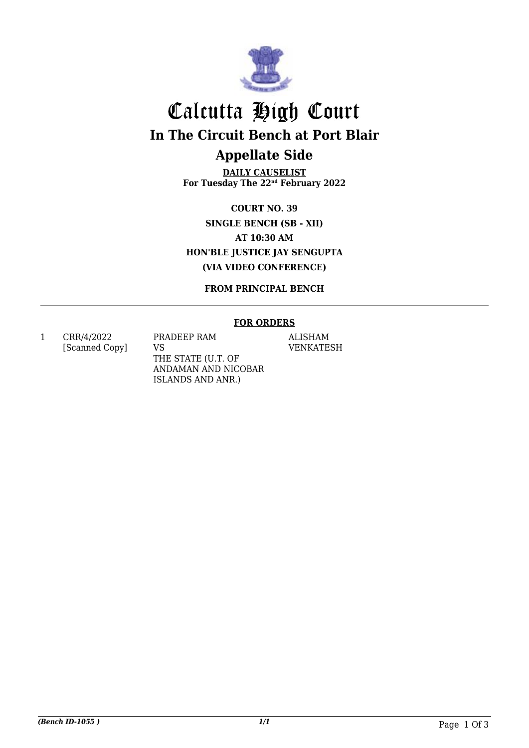

# Calcutta High Court **In The Circuit Bench at Port Blair Appellate Side**

**DAILY CAUSELIST For Tuesday The 22nd February 2022**

**COURT NO. 39 SINGLE BENCH (SB - XII) AT 10:30 AM HON'BLE JUSTICE JAY SENGUPTA (VIA VIDEO CONFERENCE)**

**FROM PRINCIPAL BENCH**

#### **FOR ORDERS**

1 CRR/4/2022 [Scanned Copy] PRADEEP RAM VS THE STATE (U.T. OF ANDAMAN AND NICOBAR ISLANDS AND ANR.)

ALISHAM VENKATESH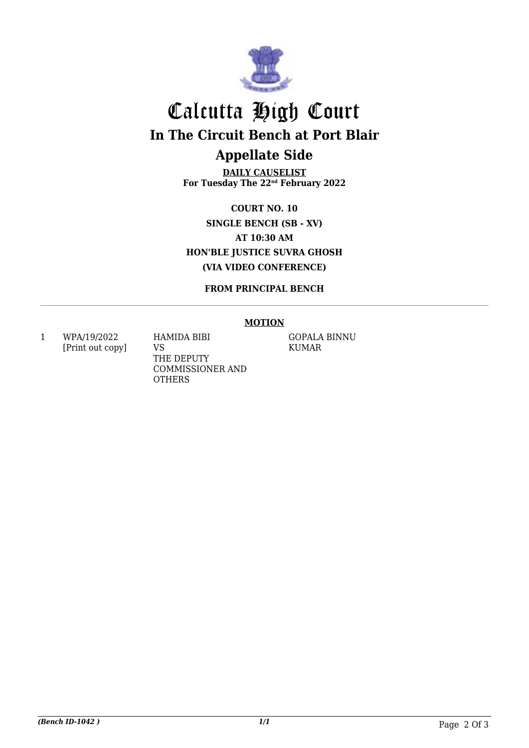

# Calcutta High Court **In The Circuit Bench at Port Blair Appellate Side**

**DAILY CAUSELIST For Tuesday The 22nd February 2022**

**COURT NO. 10 SINGLE BENCH (SB - XV) AT 10:30 AM HON'BLE JUSTICE SUVRA GHOSH (VIA VIDEO CONFERENCE)**

**FROM PRINCIPAL BENCH**

#### **MOTION**

1 WPA/19/2022 [Print out copy] HAMIDA BIBI VS THE DEPUTY COMMISSIONER AND **OTHERS** 

GOPALA BINNU KUMAR